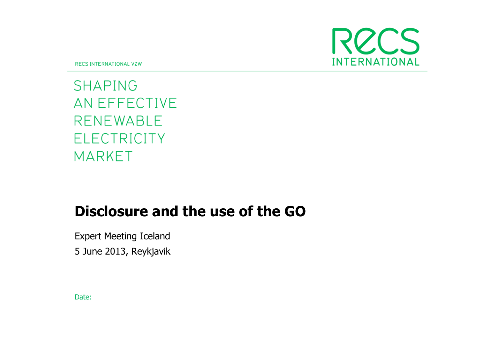

**RECS INTERNATIONAL VZW** 

**SHAPING** AN EFFECTIVE **RENEWABLE ELECTRICITY MARKET** 

# Disclosure and the use of the GO

Expert Meeting Iceland

5 June 2013, Reykjavik

Date: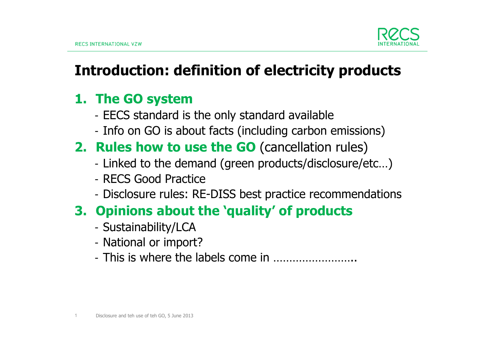

# Introduction: definition of electricity products

# 1. The GO system

- EECS standard is the only standard available
- Info on GO is about facts (including carbon emissions)

# 2. Rules how to use the GO (cancellation rules)

- Linked to the demand (green products/disclosure/etc…)
- RECS Good Practice
- Disclosure rules: RE-DISS best practice recommendations

# 3. Opinions about the 'quality' of products

- Sustainability/LCA
- National or imno - National or import?
- This is where the labels come in ……………………..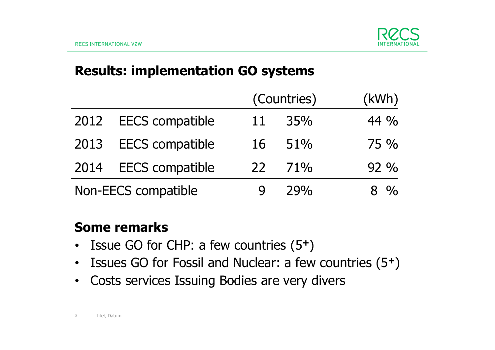

### Results: implementation GO systems

|                     |                        | (Countries) |        | (kWh)            |
|---------------------|------------------------|-------------|--------|------------------|
| 2012                | <b>EECS</b> compatible | 11          | 35%    | 44 $\frac{0}{0}$ |
| 2013                | <b>EECS</b> compatible | 16          | 51%    | $75\%$           |
| 2014                | <b>EECS</b> compatible | 22          | $71\%$ | $92\%$           |
| Non-EECS compatible |                        |             | 79%    | $8 \frac{0}{0}$  |

### Some remarks

- Issue GO for CHP: a few countries (5+)
- Issues GO for Fossil and Nuclear: a few countries (5+)
- $\bullet$ Costs services Issuing Bodies are very divers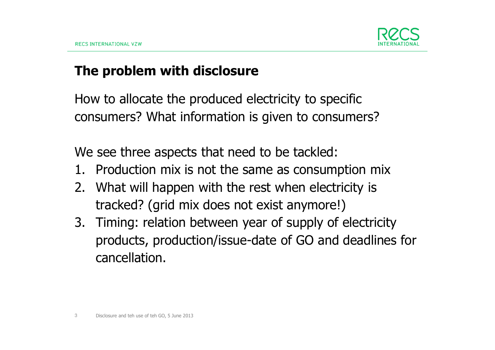

### The problem with disclosure

How to allocate the produced electricity to specific consumers? What information is given to consumers?

We see three aspects that need to be tackled:

- 1. Production mix is not the same as consumption mix
- 2. What will happen with the rest when electricity is tracked? (grid mix does not exist anymore!)
- 3. Timing: relation between year of supply of electricity products, production/issue-date of GO and deadlines for cancellation.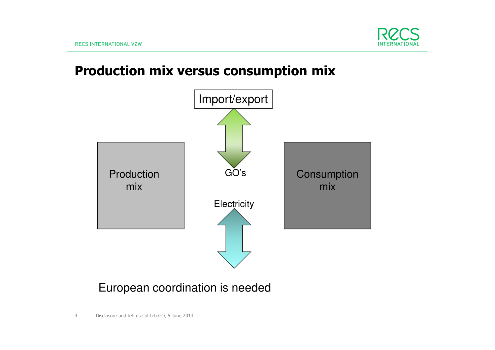

### Production mix versus consumption mix



### European coordination is needed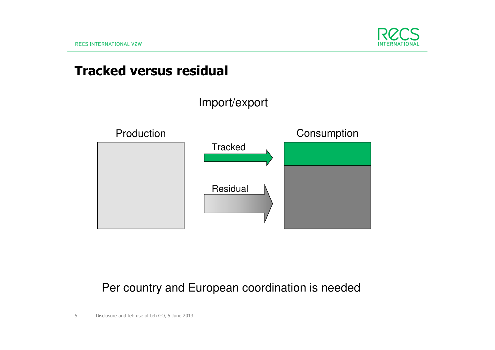

### Tracked versus residual



### Per country and European coordination is needed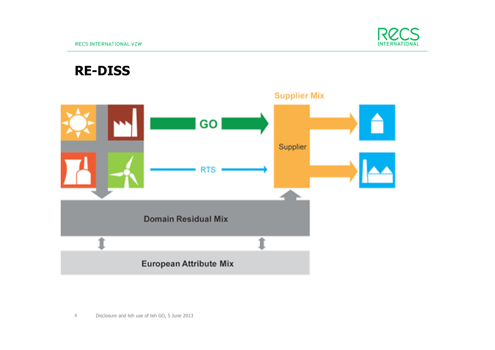

### RE-DISS

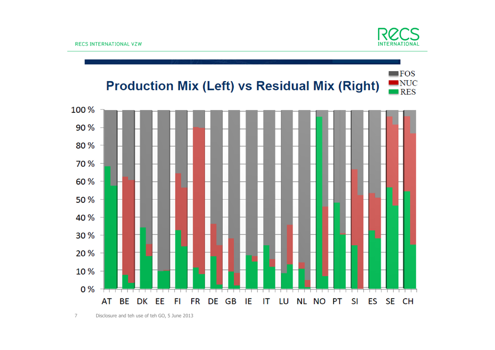

 $\blacksquare$  FOS

#### $\blacksquare$ NUC **Production Mix (Left) vs Residual Mix (Right)**  $\blacksquare$  RES

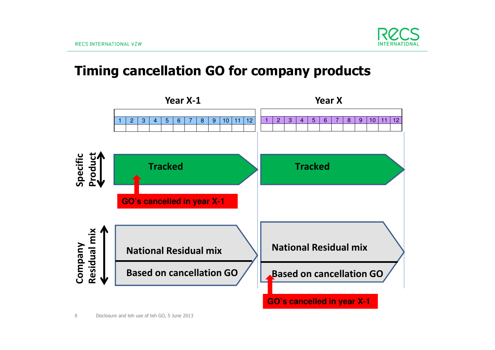

### Timing cancellation GO for company products

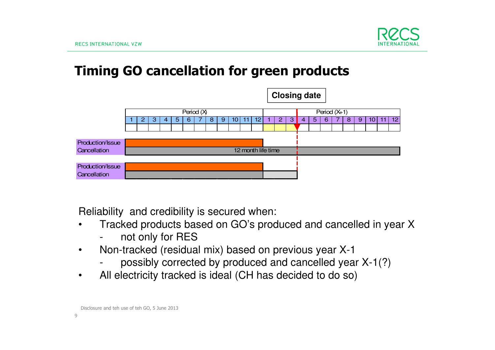

### Timing GO cancellation for green products



Reliability and credibility is secured when:

- Tracked products based on GO's produced and cancelled in year X•
	- not only for RES
- Non-tracked (residual mix) based on previous year X-1 $\bullet$ 
	- possibly corrected by produced and cancelled year X-1(?) -
- $\bullet$ All electricity tracked is ideal (CH has decided to do so)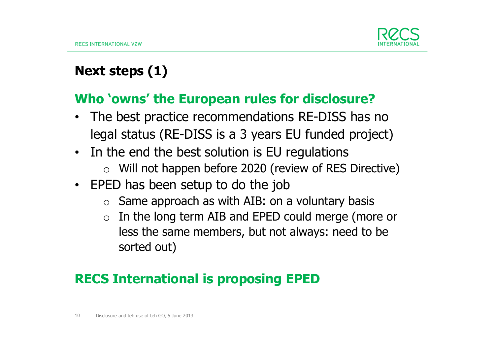

# Next steps (1)

### Who 'owns' the European rules for disclosure?

- The best practice recommendations RE-DISS has no •legal status (RE-DISS is a 3 years EU funded project)
- In the end the best solution is EU regulations
	- $\circ$  Will not happen before 2020 (review of RES Directive)
- EPED has been setup to do the job
	- $\circ$  Same approach as with AIB: on a voluntary basis
	- o In the long term AIB and EPED could merge (more or less the same members, but not always: need to be sorted out)

# RECS International is proposing EPED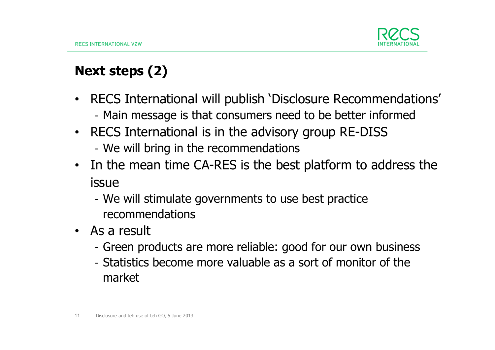

# Next steps (2)

- $\bullet$  RECS International will publish 'Disclosure Recommendations' Main message is that consumers need to be better informed
- RECS International is in the advisory group RE-DISSWe will bring in the recommendations
- In the mean time CA-RES is the best platform to address the issue
	- We will stimulate governments to use best practice recommendations
- As a result
	- Green products are more reliable: good for our own business
	- Statistics become more valuable as a sort of monitor of the market